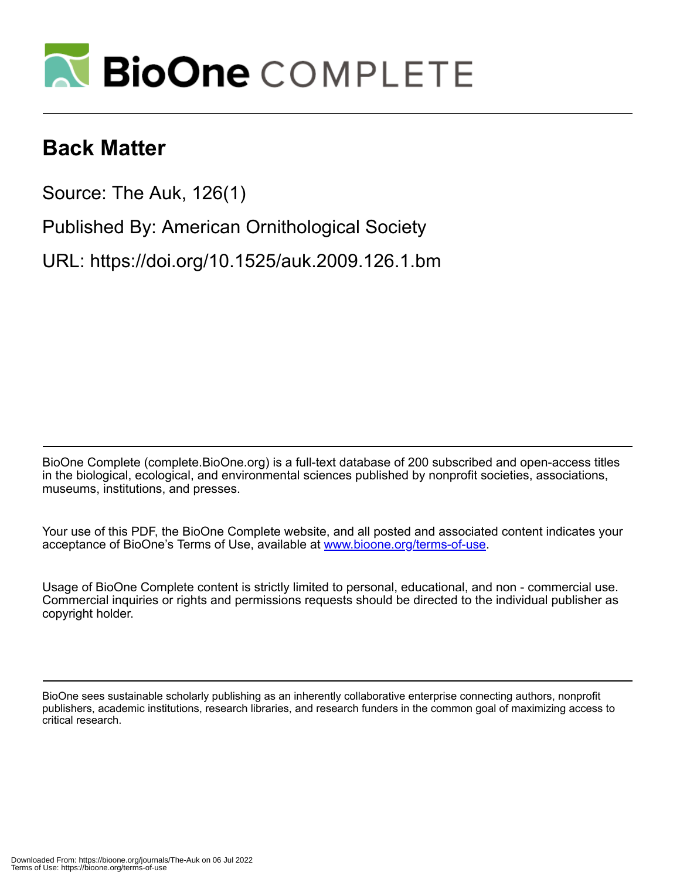

# **Back Matter**

Source: The Auk, 126(1)

Published By: American Ornithological Society

URL: https://doi.org/10.1525/auk.2009.126.1.bm

BioOne Complete (complete.BioOne.org) is a full-text database of 200 subscribed and open-access titles in the biological, ecological, and environmental sciences published by nonprofit societies, associations, museums, institutions, and presses.

Your use of this PDF, the BioOne Complete website, and all posted and associated content indicates your acceptance of BioOne's Terms of Use, available at www.bioone.org/terms-of-use.

Usage of BioOne Complete content is strictly limited to personal, educational, and non - commercial use. Commercial inquiries or rights and permissions requests should be directed to the individual publisher as copyright holder.

BioOne sees sustainable scholarly publishing as an inherently collaborative enterprise connecting authors, nonprofit publishers, academic institutions, research libraries, and research funders in the common goal of maximizing access to critical research.